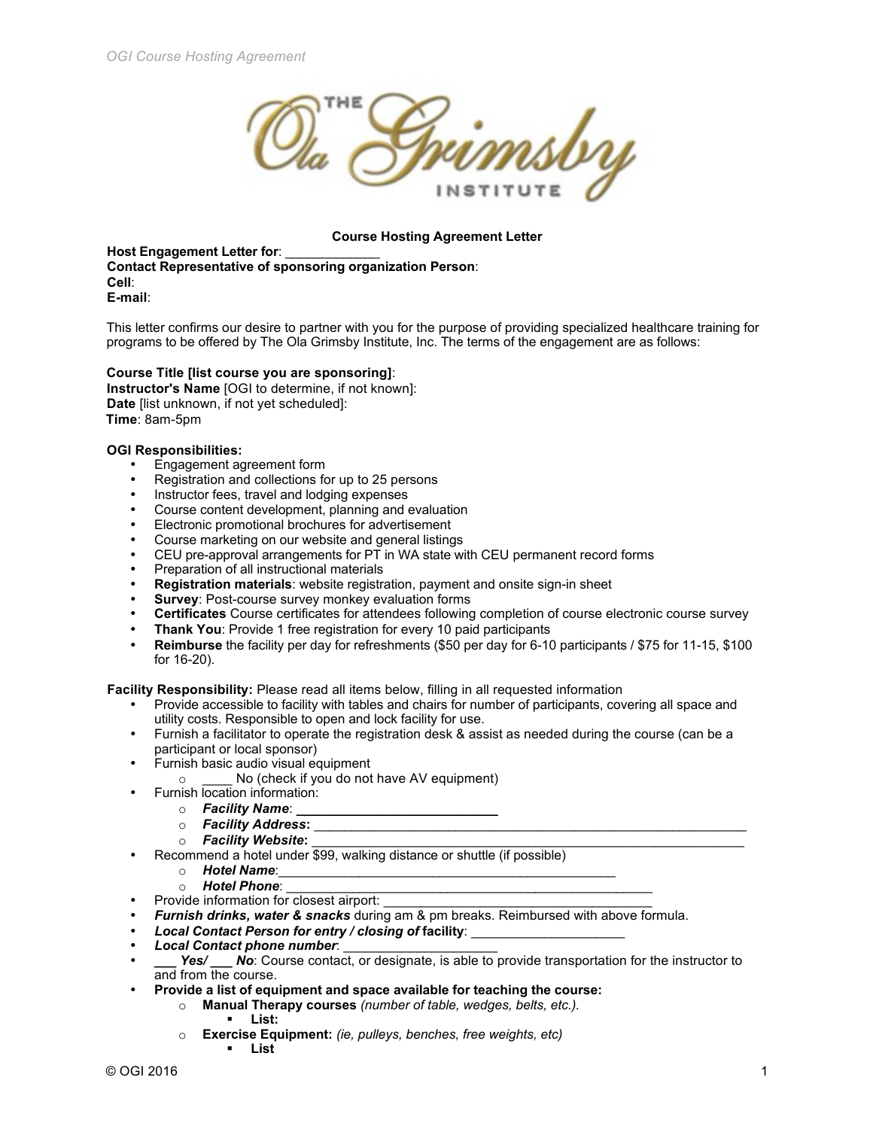

## **Course Hosting Agreement Letter**

**Host Engagement Letter for: Contact Representative of sponsoring organization Person**: **Cell**: **E-mail**:

This letter confirms our desire to partner with you for the purpose of providing specialized healthcare training for programs to be offered by The Ola Grimsby Institute, Inc. The terms of the engagement are as follows:

## **Course Title [list course you are sponsoring]**:

**Instructor's Name** [OGI to determine, if not known]: **Date** [list unknown, if not yet scheduled]: **Time**: 8am-5pm

## **OGI Responsibilities:**

- Engagement agreement form
- Registration and collections for up to 25 persons
- Instructor fees, travel and lodging expenses
- Course content development, planning and evaluation
- Electronic promotional brochures for advertisement
- Course marketing on our website and general listings
- CEU pre-approval arrangements for PT in WA state with CEU permanent record forms
- Preparation of all instructional materials
- **Registration materials**: website registration, payment and onsite sign-in sheet
- **Survey:** Post-course survey monkey evaluation forms
- **Certificates** Course certificates for attendees following completion of course electronic course survey
- **Thank You: Provide 1 free registration for every 10 paid participants**
- **Reimburse** the facility per day for refreshments (\$50 per day for 6-10 participants / \$75 for 11-15, \$100 for 16-20).

**Facility Responsibility:** Please read all items below, filling in all requested information

- Provide accessible to facility with tables and chairs for number of participants, covering all space and utility costs. Responsible to open and lock facility for use.
- Furnish a facilitator to operate the registration desk & assist as needed during the course (can be a participant or local sponsor)
- Furnish basic audio visual equipment
	- No (check if you do not have AV equipment)
- Furnish location information:
	- $\circ$  **Facility Name:**
	- o *Facility Address***:** \_\_\_\_\_\_\_\_\_\_\_\_\_\_\_\_\_\_\_\_\_\_\_\_\_\_\_\_\_\_\_\_\_\_\_\_\_\_\_\_\_\_\_\_\_\_\_\_\_\_\_\_\_\_\_\_\_\_
	- $\circ$  **Facility Website:**
- Recommend a hotel under \$99, walking distance or shuttle (if possible)
	- $\circ$  **Hotel Name:**
	- o *Hotel Phone*: \_\_\_\_\_\_\_\_\_\_\_\_\_\_\_\_\_\_\_\_\_\_\_\_\_\_\_\_\_\_\_\_\_\_\_\_\_\_\_\_\_\_\_\_\_\_\_\_\_\_
- Provide information for closest airport:
- *Furnish drinks, water & snacks* during am & pm breaks. Reimbursed with above formula.
- *Local Contact Person for entry / closing of* **facility**: \_\_\_\_\_\_\_\_\_\_\_\_\_\_\_\_\_\_\_\_\_
- *Local Contact phone number*: \_\_\_\_\_\_\_\_\_\_\_\_\_\_\_\_\_\_\_\_\_
- **Yes/** No: Course contact, or designate, is able to provide transportation for the instructor to and from the course.
- **Provide a list of equipment and space available for teaching the course:**
	- o **Manual Therapy courses** *(number of table, wedges, belts, etc.).* 
		- ! **List:**
	- o **Exercise Equipment:** *(ie, pulleys, benches, free weights, etc)* ! **List**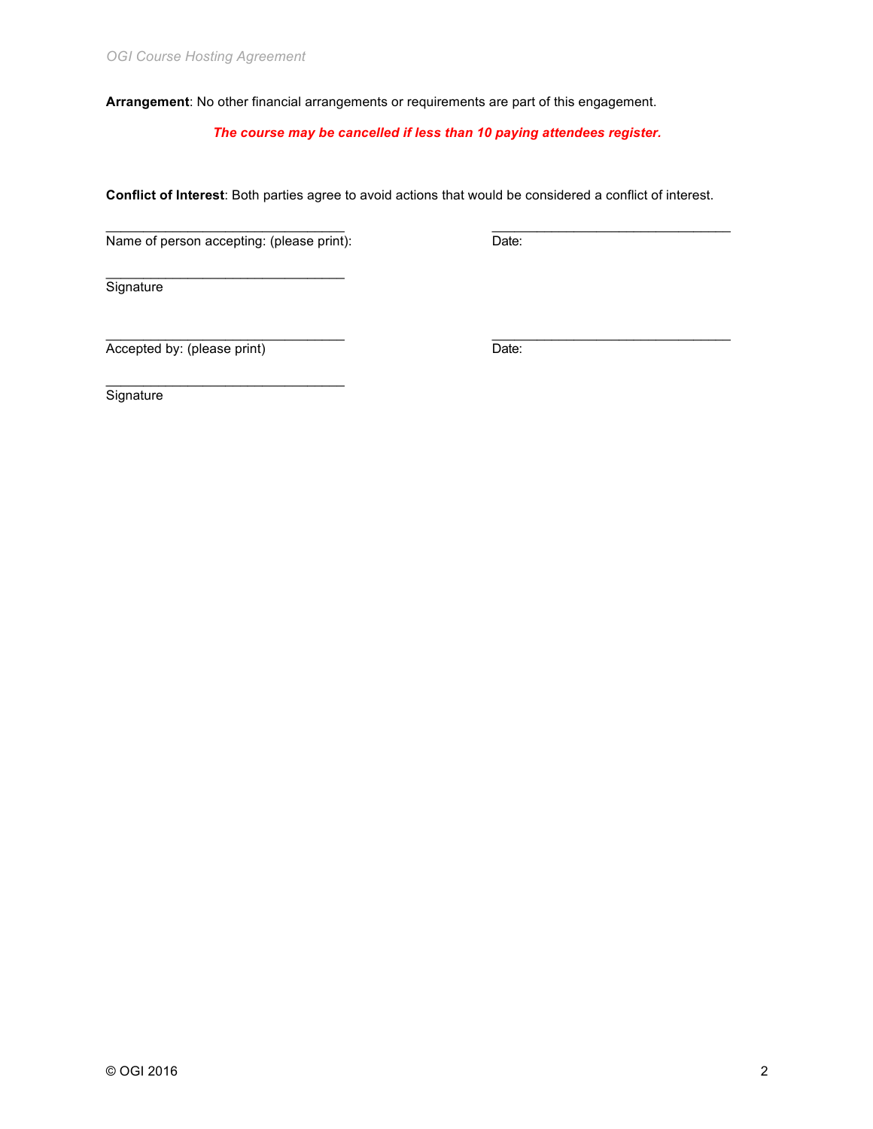**Arrangement**: No other financial arrangements or requirements are part of this engagement.

## *The course may be cancelled if less than 10 paying attendees register.*

**Conflict of Interest**: Both parties agree to avoid actions that would be considered a conflict of interest.

\_\_\_\_\_\_\_\_\_\_\_\_\_\_\_\_\_\_\_\_\_\_\_\_\_\_\_\_\_\_\_\_ \_\_\_\_\_\_\_\_\_\_\_\_\_\_\_\_\_\_\_\_\_\_\_\_\_\_\_\_\_\_\_\_

\_\_\_\_\_\_\_\_\_\_\_\_\_\_\_\_\_\_\_\_\_\_\_\_\_\_\_\_\_\_\_\_ \_\_\_\_\_\_\_\_\_\_\_\_\_\_\_\_\_\_\_\_\_\_\_\_\_\_\_\_\_\_\_\_

Name of person accepting: (please print): Date:

 $\overline{\phantom{a}}$  , which is a set of the set of the set of the set of the set of the set of the set of the set of the set of the set of the set of the set of the set of the set of the set of the set of the set of the set of th

 $\overline{\phantom{a}}$  , which is a set of the set of the set of the set of the set of the set of the set of the set of the set of the set of the set of the set of the set of the set of the set of the set of the set of the set of th

**Signature** 

Accepted by: (please print) Date:

**Signature**